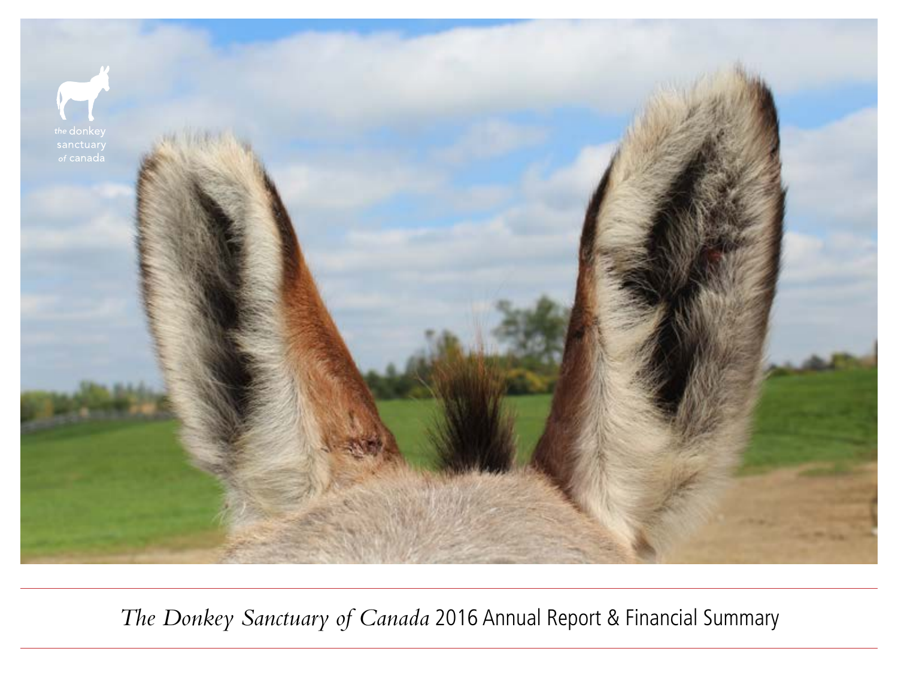

*The Donkey Sanctuary of Canada* 2016 Annual Report & Financial Summary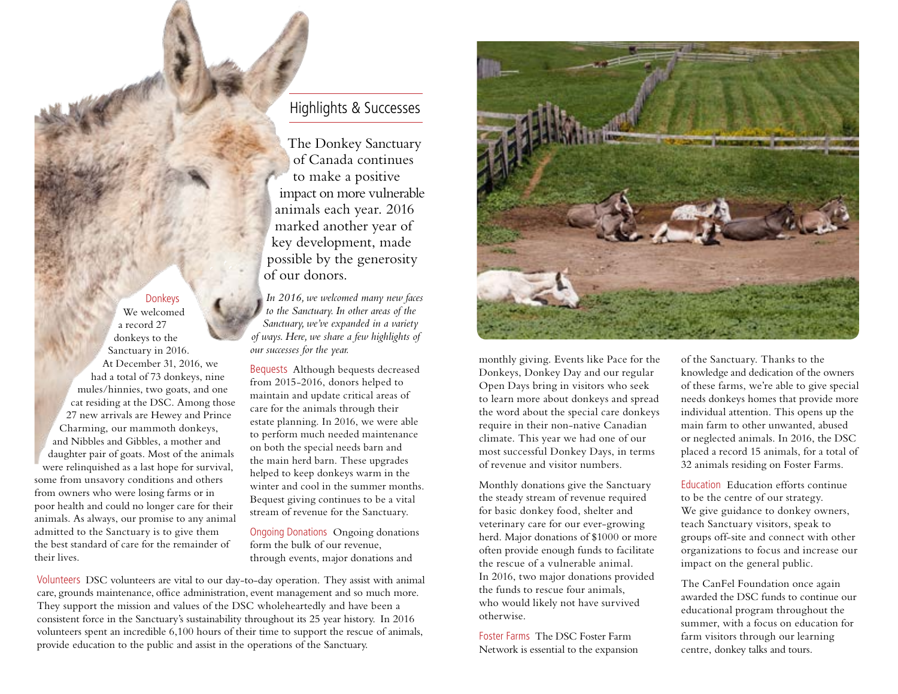## Donkeys

We welcomed a record 27 donkeys to the Sanctuary in 2016. At December 31, 2016, we had a total of 73 donkeys, nine mules/hinnies, two goats, and one cat residing at the DSC. Among those 27 new arrivals are Hewey and Prince Charming, our mammoth donkeys, and Nibbles and Gibbles, a mother and daughter pair of goats. Most of the animals were relinquished as a last hope for survival, some from unsavory conditions and others from owners who were losing farms or in poor health and could no longer care for their animals. As always, our promise to any animal admitted to the Sanctuary is to give them the best standard of care for the remainder of their lives.

## Highlights & Successes

The Donkey Sanctuary of Canada continues to make a positive impact on more vulnerable animals each year. 2016 marked another year of key development, made possible by the generosity of our donors.

*In 2016, we welcomed many new faces to the Sanctuary. In other areas of the Sanctuary, we've expanded in a variety of ways. Here, we share a few highlights of our successes for the year.*

Bequests Although bequests decreased from 2015-2016, donors helped to maintain and update critical areas of care for the animals through their estate planning. In 2016, we were able to perform much needed maintenance on both the special needs barn and the main herd barn. These upgrades helped to keep donkeys warm in the winter and cool in the summer months. Bequest giving continues to be a vital stream of revenue for the Sanctuary.

Ongoing Donations Ongoing donations form the bulk of our revenue, through events, major donations and

Volunteers DSC volunteers are vital to our day-to-day operation. They assist with animal care, grounds maintenance, office administration, event management and so much more. They support the mission and values of the DSC wholeheartedly and have been a consistent force in the Sanctuary's sustainability throughout its 25 year history. In 2016 volunteers spent an incredible 6,100 hours of their time to support the rescue of animals, provide education to the public and assist in the operations of the Sanctuary.



monthly giving. Events like Pace for the Donkeys, Donkey Day and our regular Open Days bring in visitors who seek to learn more about donkeys and spread the word about the special care donkeys require in their non-native Canadian climate. This year we had one of our most successful Donkey Days, in terms of revenue and visitor numbers.

Monthly donations give the Sanctuary the steady stream of revenue required for basic donkey food, shelter and veterinary care for our ever-growing herd. Major donations of \$1000 or more often provide enough funds to facilitate the rescue of a vulnerable animal. In 2016, two major donations provided the funds to rescue four animals, who would likely not have survived otherwise.

Foster Farms The DSC Foster Farm Network is essential to the expansion

of the Sanctuary. Thanks to the knowledge and dedication of the owners of these farms, we're able to give special needs donkeys homes that provide more individual attention. This opens up the main farm to other unwanted, abused or neglected animals. In 2016, the DSC placed a record 15 animals, for a total of 32 animals residing on Foster Farms.

Education Education efforts continue to be the centre of our strategy. We give guidance to donkey owners, teach Sanctuary visitors, speak to groups off-site and connect with other organizations to focus and increase our impact on the general public.

The CanFel Foundation once again awarded the DSC funds to continue our educational program throughout the summer, with a focus on education for farm visitors through our learning centre, donkey talks and tours.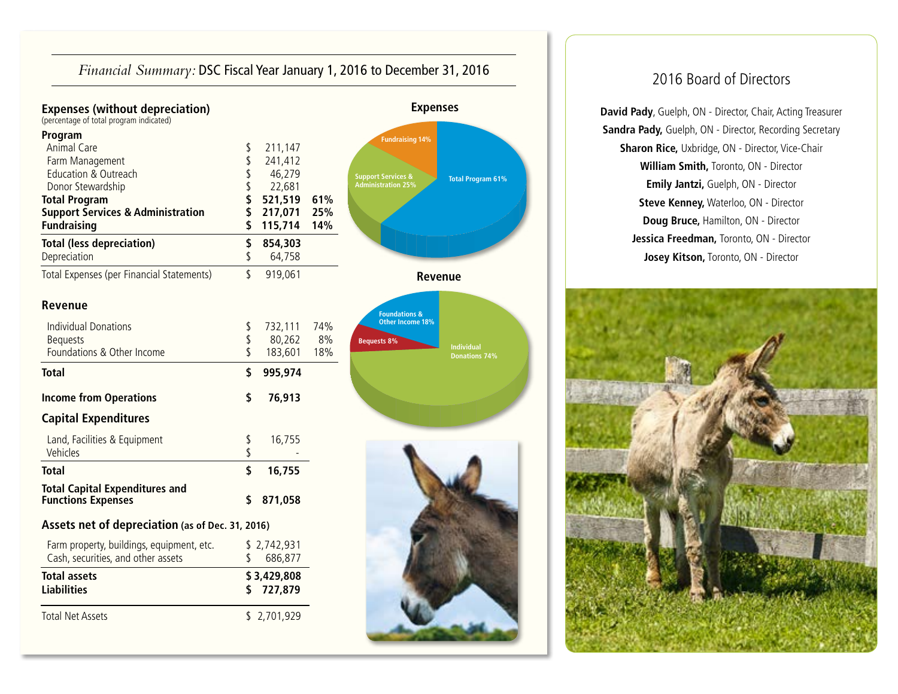| Financial Summary: DSC Fiscal Year January 1, 2016 to December 31, 2016 | 2016 Board of Directors |
|-------------------------------------------------------------------------|-------------------------|
|                                                                         |                         |



**David Pady**, Guelph, ON - Director, Chair, Acting Treasurer **Sandra Pady,** Guelph, ON - Director, Recording Secretary **Sharon Rice,** Uxbridge, ON - Director, Vice-Chair **William Smith,** Toronto, ON - Director **Emily Jantzi,** Guelph, ON - Director **Steve Kenney,** Waterloo, ON - Director **Doug Bruce,** Hamilton, ON - Director **Jessica Freedman,** Toronto, ON - Director **Josey Kitson,** Toronto, ON - Director